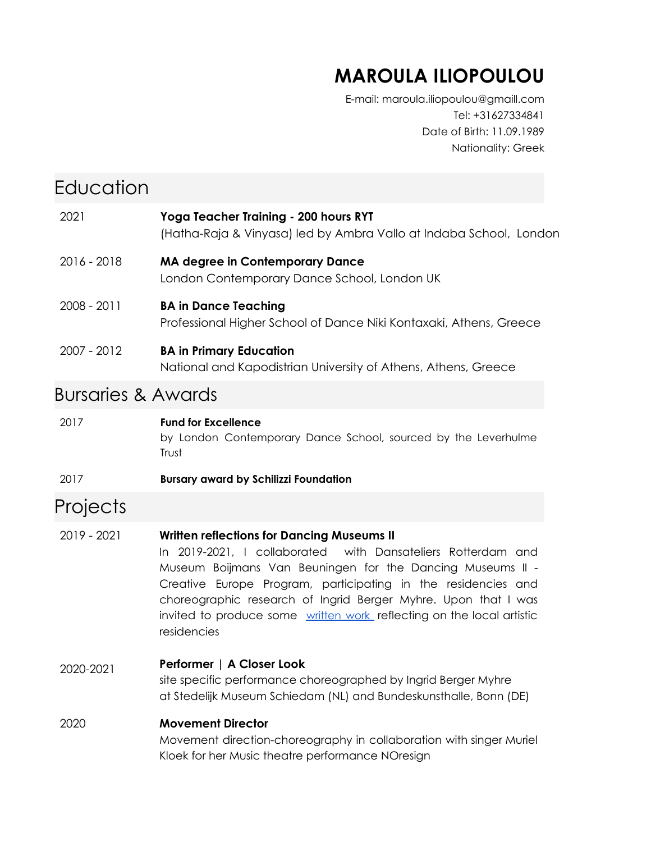## **MAROULA ILIOPOULOU**

E-mail: maroula.iliopoulou@gmaill.com Tel: +31627334841 Date of Birth: 11.09.1989 Nationality: Greek

| Education                     |                                                                                                                                                                                                                                                                                                                                                                                                            |  |  |
|-------------------------------|------------------------------------------------------------------------------------------------------------------------------------------------------------------------------------------------------------------------------------------------------------------------------------------------------------------------------------------------------------------------------------------------------------|--|--|
| 2021                          | Yoga Teacher Training - 200 hours RYT<br>(Hatha-Raja & Vinyasa) led by Ambra Vallo at Indaba School, London                                                                                                                                                                                                                                                                                                |  |  |
| 2016 - 2018                   | <b>MA degree in Contemporary Dance</b><br>London Contemporary Dance School, London UK                                                                                                                                                                                                                                                                                                                      |  |  |
| 2008 - 2011                   | <b>BA in Dance Teaching</b><br>Professional Higher School of Dance Niki Kontaxaki, Athens, Greece                                                                                                                                                                                                                                                                                                          |  |  |
| 2007 - 2012                   | <b>BA in Primary Education</b><br>National and Kapodistrian University of Athens, Athens, Greece                                                                                                                                                                                                                                                                                                           |  |  |
| <b>Bursaries &amp; Awards</b> |                                                                                                                                                                                                                                                                                                                                                                                                            |  |  |
| 2017                          | <b>Fund for Excellence</b><br>by London Contemporary Dance School, sourced by the Leverhulme<br>Trust                                                                                                                                                                                                                                                                                                      |  |  |
| 2017                          | <b>Bursary award by Schilizzi Foundation</b>                                                                                                                                                                                                                                                                                                                                                               |  |  |
| Projects                      |                                                                                                                                                                                                                                                                                                                                                                                                            |  |  |
| 2019 - 2021                   | <b>Written reflections for Dancing Museums II</b><br>In 2019-2021, I collaborated with Dansateliers Rotterdam and<br>Museum Boijmans Van Beuningen for the Dancing Museums II -<br>Creative Europe Program, participating in the residencies and<br>choreographic research of Ingrid Berger Myhre. Upon that I was<br>invited to produce some written work reflecting on the local artistic<br>residencies |  |  |
| 2020-2021                     | Performer   A Closer Look<br>site specific performance choreographed by Ingrid Berger Myhre<br>at Stedelijk Museum Schiedam (NL) and Bundeskunsthalle, Bonn (DE)                                                                                                                                                                                                                                           |  |  |
| 2020                          | <b>Movement Director</b><br>Movement direction-choreography in collaboration with singer Muriel<br>Kloek for her Music theatre performance NOresign                                                                                                                                                                                                                                                        |  |  |
|                               |                                                                                                                                                                                                                                                                                                                                                                                                            |  |  |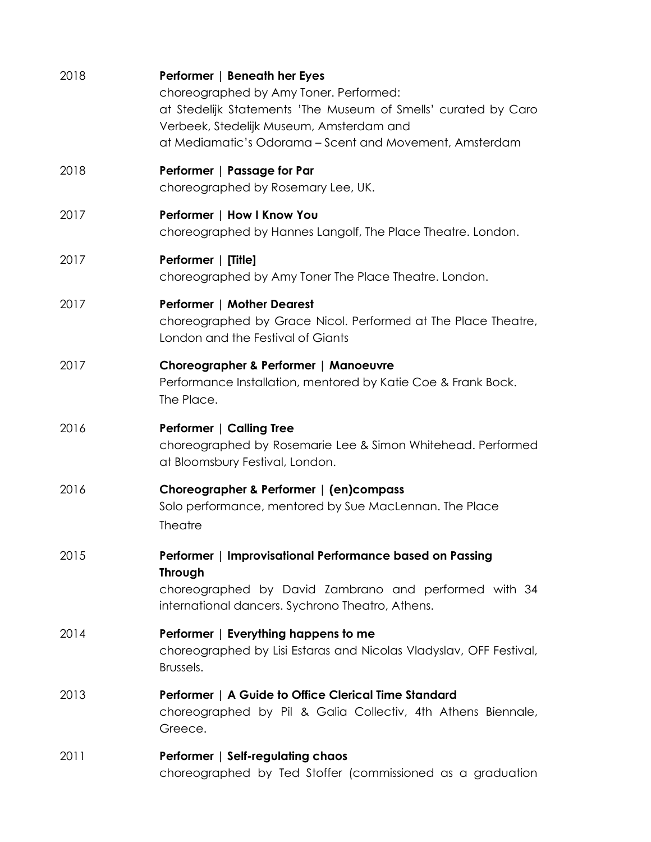| 2018 | Performer   Beneath her Eyes<br>choreographed by Amy Toner. Performed:<br>at Stedelijk Statements 'The Museum of Smells' curated by Caro<br>Verbeek, Stedelijk Museum, Amsterdam and<br>at Mediamatic's Odorama - Scent and Movement, Amsterdam |
|------|-------------------------------------------------------------------------------------------------------------------------------------------------------------------------------------------------------------------------------------------------|
| 2018 | Performer   Passage for Par<br>choreographed by Rosemary Lee, UK.                                                                                                                                                                               |
| 2017 | Performer   How I Know You<br>choreographed by Hannes Langolf, The Place Theatre. London.                                                                                                                                                       |
| 2017 | Performer   [Title]<br>choreographed by Amy Toner The Place Theatre. London.                                                                                                                                                                    |
| 2017 | <b>Performer   Mother Dearest</b><br>choreographed by Grace Nicol. Performed at The Place Theatre,<br>London and the Festival of Giants                                                                                                         |
| 2017 | Choreographer & Performer   Manoeuvre<br>Performance Installation, mentored by Katie Coe & Frank Bock.<br>The Place.                                                                                                                            |
| 2016 | Performer   Calling Tree<br>choreographed by Rosemarie Lee & Simon Whitehead. Performed<br>at Bloomsbury Festival, London.                                                                                                                      |
| 2016 | Choreographer & Performer   (en)compass<br>Solo performance, mentored by Sue MacLennan. The Place<br><b>Theatre</b>                                                                                                                             |
| 2015 | Performer   Improvisational Performance based on Passing<br><b>Through</b><br>choreographed by David Zambrano and performed with 34<br>international dancers. Sychrono Theatro, Athens.                                                         |
| 2014 | Performer   Everything happens to me<br>choreographed by Lisi Estaras and Nicolas Vladyslav, OFF Festival,<br>Brussels.                                                                                                                         |
| 2013 | Performer   A Guide to Office Clerical Time Standard<br>choreographed by Pil & Galia Collectiv, 4th Athens Biennale,<br>Greece.                                                                                                                 |
| 2011 | Performer   Self-regulating chaos<br>choreographed by Ted Stoffer (commissioned as a graduation                                                                                                                                                 |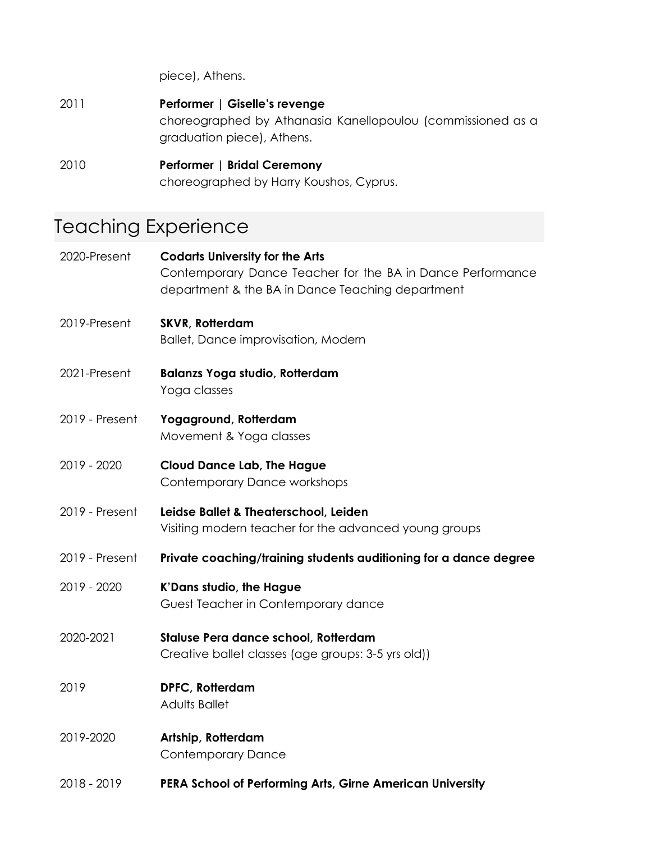piece), Athens.

| 2011 | Performer   Giselle's revenge                                                             |
|------|-------------------------------------------------------------------------------------------|
|      | choreographed by Athanasia Kanellopoulou (commissioned as a<br>graduation piece), Athens. |
| 2010 | <b>Performer   Bridal Ceremony</b>                                                        |
|      | choreographed by Harry Koushos, Cyprus.                                                   |

# Teaching Experience

| 2020-Present   | <b>Codarts University for the Arts</b><br>Contemporary Dance Teacher for the BA in Dance Performance<br>department & the BA in Dance Teaching department |
|----------------|----------------------------------------------------------------------------------------------------------------------------------------------------------|
| 2019-Present   | <b>SKVR, Rotterdam</b><br><b>Ballet, Dance improvisation, Modern</b>                                                                                     |
| 2021-Present   | <b>Balanzs Yoga studio, Rotterdam</b><br>Yoga classes                                                                                                    |
| 2019 - Present | Yogaground, Rotterdam<br>Movement & Yoga classes                                                                                                         |
| 2019 - 2020    | <b>Cloud Dance Lab, The Hague</b><br><b>Contemporary Dance workshops</b>                                                                                 |
| 2019 - Present | Leidse Ballet & Theaterschool, Leiden<br>Visiting modern teacher for the advanced young groups                                                           |
| 2019 - Present | Private coaching/training students auditioning for a dance degree                                                                                        |
| 2019 - 2020    | K'Dans studio, the Hague<br>Guest Teacher in Contemporary dance                                                                                          |
| 2020-2021      | Staluse Pera dance school, Rotterdam<br>Creative ballet classes (age groups: 3-5 yrs old))                                                               |
| 2019           | DPFC, Rotterdam<br><b>Adults Ballet</b>                                                                                                                  |
| 2019-2020      | Artship, Rotterdam<br><b>Contemporary Dance</b>                                                                                                          |
| 2018 - 2019    | PERA School of Performing Arts, Girne American University                                                                                                |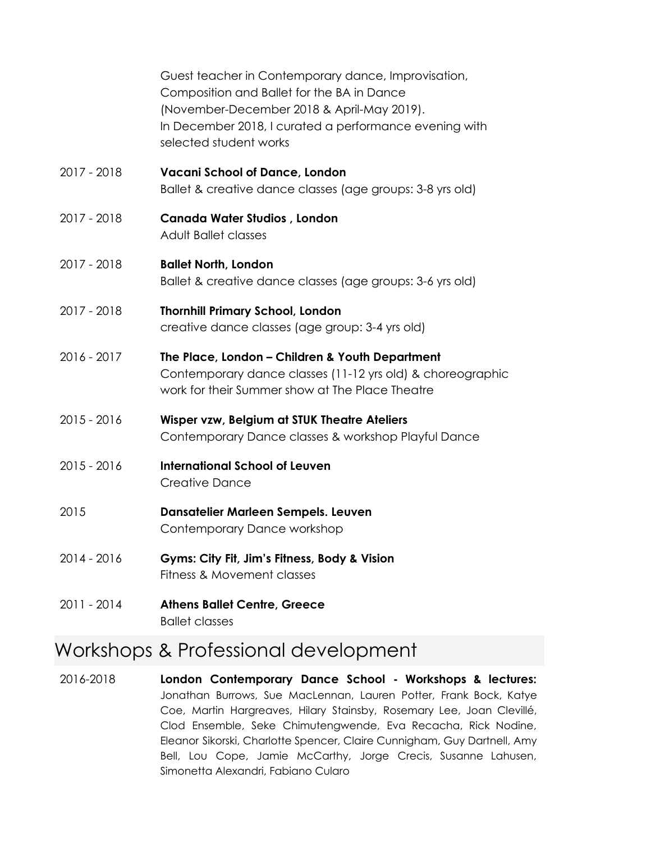|               | Guest teacher in Contemporary dance, Improvisation,<br>Composition and Ballet for the BA in Dance<br>(November-December 2018 & April-May 2019).<br>In December 2018, I curated a performance evening with<br>selected student works |
|---------------|-------------------------------------------------------------------------------------------------------------------------------------------------------------------------------------------------------------------------------------|
| 2017 - 2018   | <b>Vacani School of Dance, London</b><br>Ballet & creative dance classes (age groups: 3-8 yrs old)                                                                                                                                  |
| 2017 - 2018   | <b>Canada Water Studios, London</b><br><b>Adult Ballet classes</b>                                                                                                                                                                  |
| 2017 - 2018   | <b>Ballet North, London</b><br>Ballet & creative dance classes (age groups: 3-6 yrs old)                                                                                                                                            |
| 2017 - 2018   | <b>Thornhill Primary School, London</b><br>creative dance classes (age group: 3-4 yrs old)                                                                                                                                          |
| 2016 - 2017   | The Place, London - Children & Youth Department<br>Contemporary dance classes (11-12 yrs old) & choreographic<br>work for their Summer show at The Place Theatre                                                                    |
| $2015 - 2016$ | Wisper vzw, Belgium at STUK Theatre Ateliers<br>Contemporary Dance classes & workshop Playful Dance                                                                                                                                 |
| 2015 - 2016   | <b>International School of Leuven</b><br><b>Creative Dance</b>                                                                                                                                                                      |
| 2015          | Dansatelier Marleen Sempels. Leuven<br>Contemporary Dance workshop                                                                                                                                                                  |
| 2014 - 2016   | Gyms: City Fit, Jim's Fitness, Body & Vision<br>Fitness & Movement classes                                                                                                                                                          |
| 2011 - 2014   | <b>Athens Ballet Centre, Greece</b>                                                                                                                                                                                                 |

### Ballet classes

### Workshops & Professional development

2016-2018 **London Contemporary Dance School - Workshops & lectures:** Jonathan Burrows, Sue MacLennan, Lauren Potter, Frank Bock, Katye Coe, Martin Hargreaves, Hilary Stainsby, Rosemary Lee, Joan Clevillé, Clod Ensemble, Seke Chimutengwende, Eva Recacha, Rick Nodine, Eleanor Sikorski, Charlotte Spencer, Claire Cunnigham, Guy Dartnell, Amy Bell, Lou Cope, Jamie McCarthy, Jorge Crecis, Susanne Lahusen, Simonetta Alexandri, Fabiano Cularo